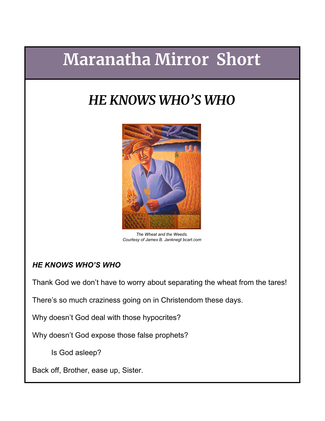## **Maranatha Mirror Short**

## *HE KNOWS WHO'S WHO*



*The Wheat and the Weeds. Courtesy of James B. Janknegt bcart.com*

## *HE KNOWS WHO'S WHO*

Thank God we don't have to worry about separating the wheat from the tares!

There's so much craziness going on in Christendom these days.

Why doesn't God deal with those hypocrites?

Why doesn't God expose those false prophets?

Is God asleep?

Back off, Brother, ease up, Sister.